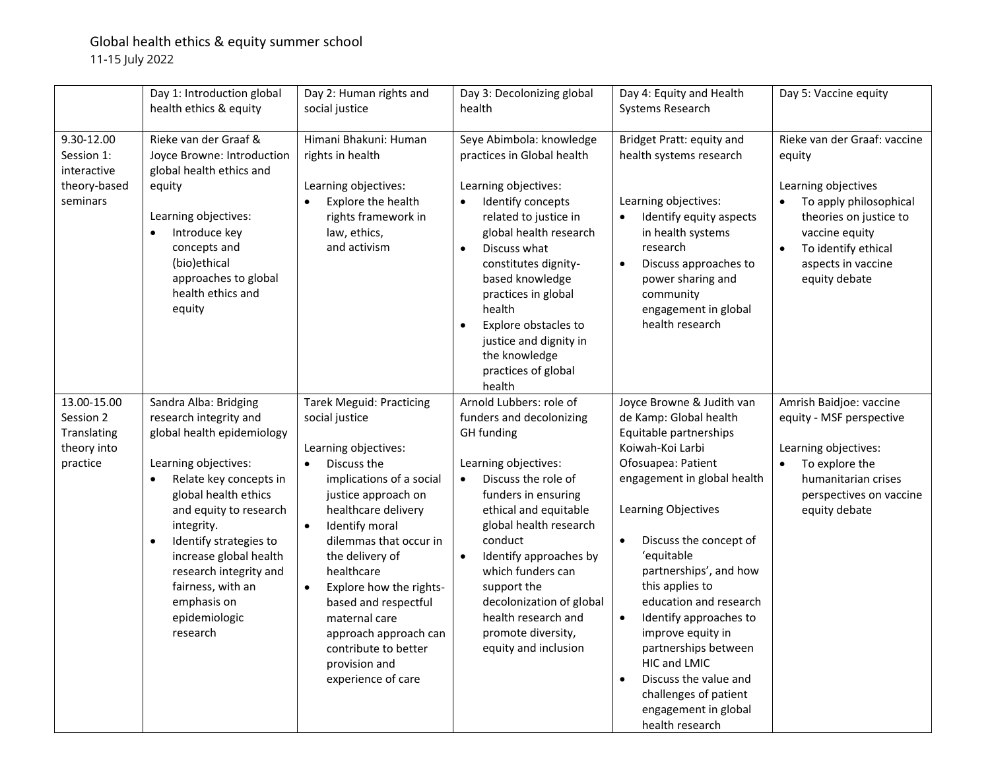## Global health ethics & equity summer school 11-15 July 2022

|                                                                     | Day 1: Introduction global<br>health ethics & equity                                                                                                                                                                                                                                                                                                        | Day 2: Human rights and<br>social justice                                                                                                                                                                                                                                                                                                                                                                                                          | Day 3: Decolonizing global<br>health                                                                                                                                                                                                                                                                                                                                                                  | Day 4: Equity and Health<br>Systems Research                                                                                                                                                                                                                                                                                                                                                                                                                                                                                   | Day 5: Vaccine equity                                                                                                                                                                                                       |
|---------------------------------------------------------------------|-------------------------------------------------------------------------------------------------------------------------------------------------------------------------------------------------------------------------------------------------------------------------------------------------------------------------------------------------------------|----------------------------------------------------------------------------------------------------------------------------------------------------------------------------------------------------------------------------------------------------------------------------------------------------------------------------------------------------------------------------------------------------------------------------------------------------|-------------------------------------------------------------------------------------------------------------------------------------------------------------------------------------------------------------------------------------------------------------------------------------------------------------------------------------------------------------------------------------------------------|--------------------------------------------------------------------------------------------------------------------------------------------------------------------------------------------------------------------------------------------------------------------------------------------------------------------------------------------------------------------------------------------------------------------------------------------------------------------------------------------------------------------------------|-----------------------------------------------------------------------------------------------------------------------------------------------------------------------------------------------------------------------------|
| 9.30-12.00<br>Session 1:<br>interactive<br>theory-based<br>seminars | Rieke van der Graaf &<br>Joyce Browne: Introduction<br>global health ethics and<br>equity<br>Learning objectives:<br>Introduce key<br>concepts and<br>(bio)ethical<br>approaches to global<br>health ethics and<br>equity                                                                                                                                   | Himani Bhakuni: Human<br>rights in health<br>Learning objectives:<br>Explore the health<br>$\bullet$<br>rights framework in<br>law, ethics,<br>and activism                                                                                                                                                                                                                                                                                        | Seye Abimbola: knowledge<br>practices in Global health<br>Learning objectives:<br>Identify concepts<br>$\bullet$<br>related to justice in<br>global health research<br>Discuss what<br>$\bullet$<br>constitutes dignity-<br>based knowledge<br>practices in global<br>health<br>Explore obstacles to<br>$\bullet$<br>justice and dignity in<br>the knowledge<br>practices of global<br>health         | Bridget Pratt: equity and<br>health systems research<br>Learning objectives:<br>Identify equity aspects<br>in health systems<br>research<br>$\bullet$<br>Discuss approaches to<br>power sharing and<br>community<br>engagement in global<br>health research                                                                                                                                                                                                                                                                    | Rieke van der Graaf: vaccine<br>equity<br>Learning objectives<br>To apply philosophical<br>$\bullet$<br>theories on justice to<br>vaccine equity<br>To identify ethical<br>$\bullet$<br>aspects in vaccine<br>equity debate |
| 13.00-15.00<br>Session 2<br>Translating<br>theory into<br>practice  | Sandra Alba: Bridging<br>research integrity and<br>global health epidemiology<br>Learning objectives:<br>Relate key concepts in<br>global health ethics<br>and equity to research<br>integrity.<br>Identify strategies to<br>$\bullet$<br>increase global health<br>research integrity and<br>fairness, with an<br>emphasis on<br>epidemiologic<br>research | <b>Tarek Meguid: Practicing</b><br>social justice<br>Learning objectives:<br>Discuss the<br>$\bullet$<br>implications of a social<br>justice approach on<br>healthcare delivery<br>Identify moral<br>$\bullet$<br>dilemmas that occur in<br>the delivery of<br>healthcare<br>Explore how the rights-<br>$\bullet$<br>based and respectful<br>maternal care<br>approach approach can<br>contribute to better<br>provision and<br>experience of care | Arnold Lubbers: role of<br>funders and decolonizing<br><b>GH</b> funding<br>Learning objectives:<br>Discuss the role of<br>$\bullet$<br>funders in ensuring<br>ethical and equitable<br>global health research<br>conduct<br>Identify approaches by<br>$\bullet$<br>which funders can<br>support the<br>decolonization of global<br>health research and<br>promote diversity,<br>equity and inclusion | Joyce Browne & Judith van<br>de Kamp: Global health<br>Equitable partnerships<br>Koiwah-Koi Larbi<br>Ofosuapea: Patient<br>engagement in global health<br>Learning Objectives<br>Discuss the concept of<br>$\bullet$<br>'equitable<br>partnerships', and how<br>this applies to<br>education and research<br>Identify approaches to<br>$\bullet$<br>improve equity in<br>partnerships between<br><b>HIC and LMIC</b><br>Discuss the value and<br>$\bullet$<br>challenges of patient<br>engagement in global<br>health research | Amrish Baidjoe: vaccine<br>equity - MSF perspective<br>Learning objectives:<br>To explore the<br>$\bullet$<br>humanitarian crises<br>perspectives on vaccine<br>equity debate                                               |